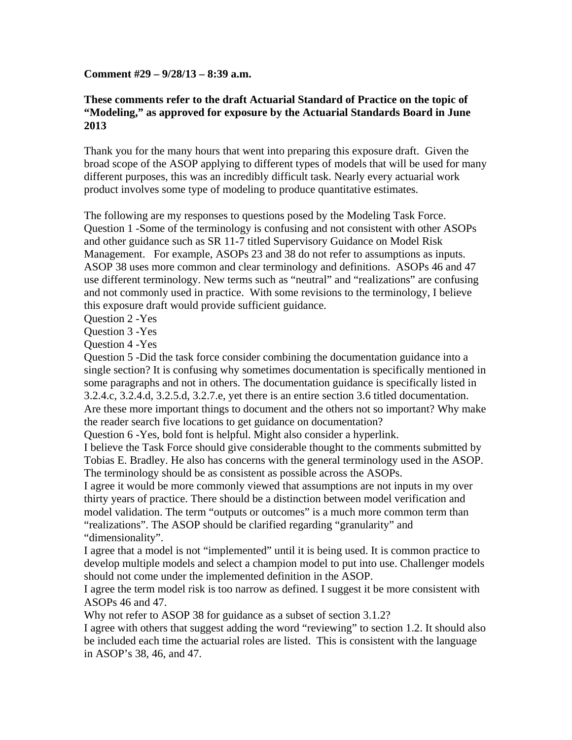## **Comment #29 – 9/28/13 – 8:39 a.m.**

## **These comments refer to the draft Actuarial Standard of Practice on the topic of "Modeling," as approved for exposure by the Actuarial Standards Board in June 2013**

Thank you for the many hours that went into preparing this exposure draft. Given the broad scope of the ASOP applying to different types of models that will be used for many different purposes, this was an incredibly difficult task. Nearly every actuarial work product involves some type of modeling to produce quantitative estimates.

The following are my responses to questions posed by the Modeling Task Force. Question 1 -Some of the terminology is confusing and not consistent with other ASOPs and other guidance such as SR 11-7 titled Supervisory Guidance on Model Risk Management. For example, ASOPs 23 and 38 do not refer to assumptions as inputs. ASOP 38 uses more common and clear terminology and definitions. ASOPs 46 and 47 use different terminology. New terms such as "neutral" and "realizations" are confusing and not commonly used in practice. With some revisions to the terminology, I believe this exposure draft would provide sufficient guidance.

Question 2 -Yes

Question 3 -Yes

Question 4 -Yes

Question 5 -Did the task force consider combining the documentation guidance into a single section? It is confusing why sometimes documentation is specifically mentioned in some paragraphs and not in others. The documentation guidance is specifically listed in 3.2.4.c, 3.2.4.d, 3.2.5.d, 3.2.7.e, yet there is an entire section 3.6 titled documentation. Are these more important things to document and the others not so important? Why make the reader search five locations to get guidance on documentation?

Question 6 -Yes, bold font is helpful. Might also consider a hyperlink.

I believe the Task Force should give considerable thought to the comments submitted by Tobias E. Bradley. He also has concerns with the general terminology used in the ASOP. The terminology should be as consistent as possible across the ASOPs.

I agree it would be more commonly viewed that assumptions are not inputs in my over thirty years of practice. There should be a distinction between model verification and model validation. The term "outputs or outcomes" is a much more common term than "realizations". The ASOP should be clarified regarding "granularity" and "dimensionality".

I agree that a model is not "implemented" until it is being used. It is common practice to develop multiple models and select a champion model to put into use. Challenger models should not come under the implemented definition in the ASOP.

I agree the term model risk is too narrow as defined. I suggest it be more consistent with ASOPs 46 and 47.

Why not refer to ASOP 38 for guidance as a subset of section 3.1.2?

I agree with others that suggest adding the word "reviewing" to section 1.2. It should also be included each time the actuarial roles are listed. This is consistent with the language in ASOP's 38, 46, and 47.